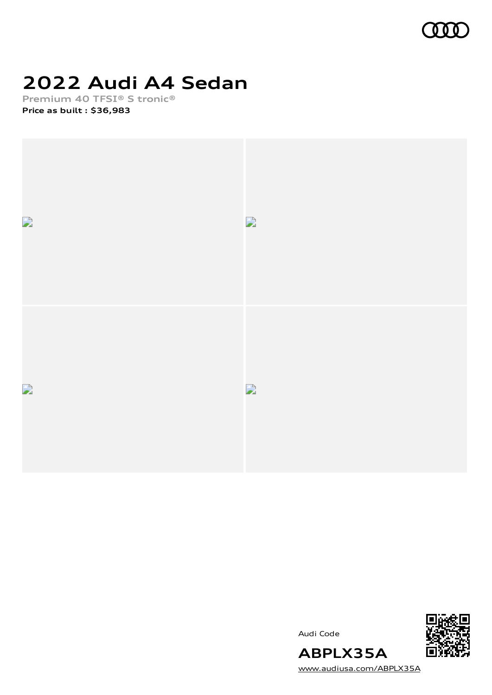

## **2022 Audi A4 Sedan**

**Premium 40 TFSI® S tronic® Price as built [:](#page-10-0) \$36,983**



Audi Code



[www.audiusa.com/ABPLX35A](https://www.audiusa.com/ABPLX35A)

**ABPLX35A**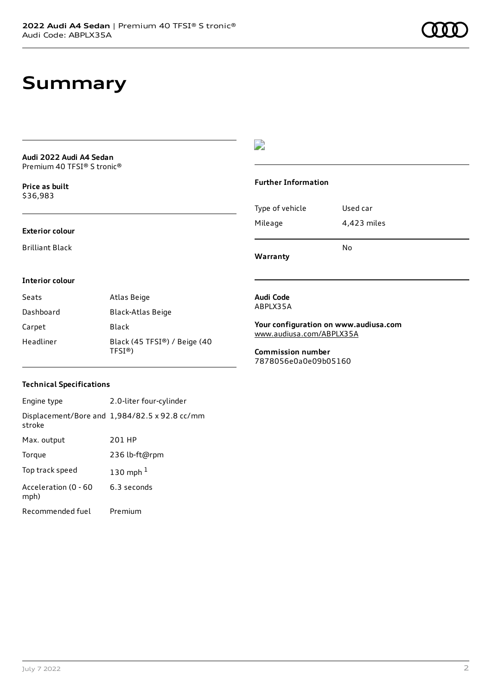## **Summary**

**Audi 2022 Audi A4 Sedan** Premium 40 TFSI® S tronic®

**Price as buil[t](#page-10-0)** \$36,983

## $\overline{\phantom{a}}$

### **Further Information**

| Type of vehicle | Used car    |
|-----------------|-------------|
| Mileage         | 4,423 miles |

**Warranty**

**Interior colour**

**Exterior colour** Brilliant Black

| Seats     | Atlas Beige                                       |
|-----------|---------------------------------------------------|
| Dashboard | Black-Atlas Beige                                 |
| Carpet    | Black                                             |
| Headliner | Black (45 TFSI®) / Beige (40<br>TFSI <sup>®</sup> |

### **Audi Code** ABPLX35A

**Your configuration on www.audiusa.com** [www.audiusa.com/ABPLX35A](https://www.audiusa.com/ABPLX35A)

No

**Commission number** 7878056e0a0e09b05160

### **Technical Specifications**

| Engine type                  | 2.0-liter four-cylinder                              |
|------------------------------|------------------------------------------------------|
| stroke                       | Displacement/Bore and $1,984/82.5 \times 92.8$ cc/mm |
| Max. output                  | 201 HP                                               |
| Torque                       | 236 lb-ft@rpm                                        |
| Top track speed              | 130 mph $1$                                          |
| Acceleration (0 - 60<br>mph) | 6.3 seconds                                          |
| Recommended fuel             | Premium                                              |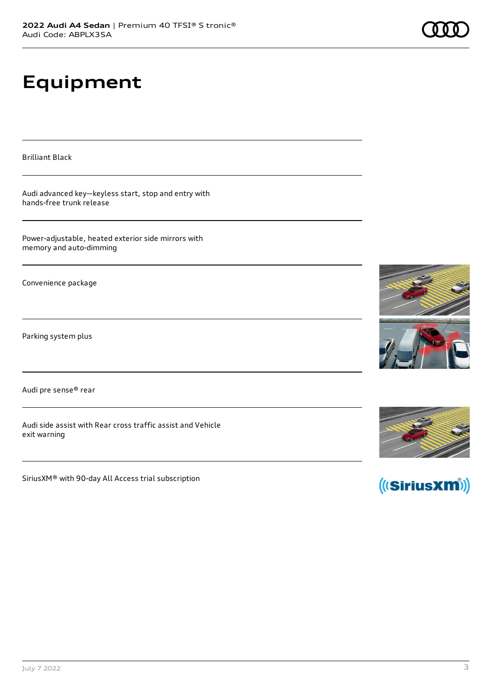# **Equipment**

Brilliant Black

Audi advanced key—keyless start, stop and entry with hands-free trunk release

Power-adjustable, heated exterior side mirrors with memory and auto-dimming

Convenience package

Parking system plus

Audi pre sense® rear

Audi side assist with Rear cross traffic assist and Vehicle exit warning

SiriusXM® with 90-day All Access trial subscription







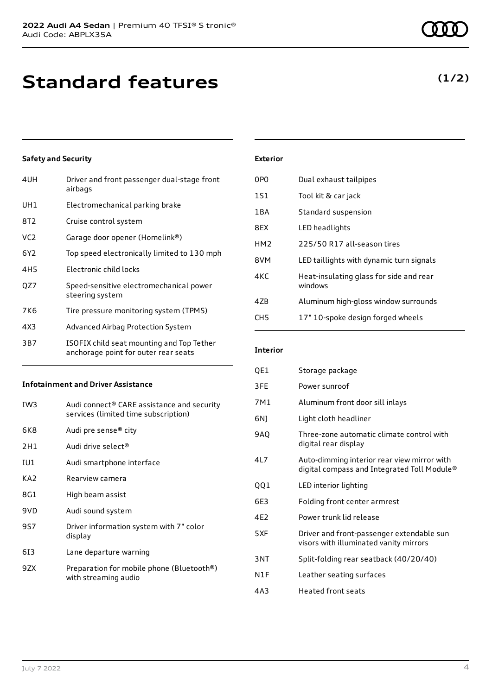## **Standard features**

## **Safety and Security**

| 4UH             | Driver and front passenger dual-stage front<br>airbags                            |
|-----------------|-----------------------------------------------------------------------------------|
| UH1             | Electromechanical parking brake                                                   |
| 8T2             | Cruise control system                                                             |
| VC <sub>2</sub> | Garage door opener (Homelink®)                                                    |
| 6Y2             | Top speed electronically limited to 130 mph                                       |
| 4H <sub>5</sub> | Electronic child locks                                                            |
| OZ7             | Speed-sensitive electromechanical power<br>steering system                        |
| 7K6             | Tire pressure monitoring system (TPMS)                                            |
| 4X3             | Advanced Airbag Protection System                                                 |
| 3B7             | ISOFIX child seat mounting and Top Tether<br>anchorage point for outer rear seats |
|                 |                                                                                   |

### **Infotainment and Driver Assistance**

| IW3             | Audi connect® CARE assistance and security<br>services (limited time subscription) |
|-----------------|------------------------------------------------------------------------------------|
| 6K8             | Audi pre sense® city                                                               |
| 2H1             | Audi drive select®                                                                 |
| IU1             | Audi smartphone interface                                                          |
| KA <sub>2</sub> | Rearview camera                                                                    |
| 8G1             | High beam assist                                                                   |
| 9VD             | Audi sound system                                                                  |
| 9S7             | Driver information system with 7" color<br>display                                 |
| 613             | Lane departure warning                                                             |
| 9ZX             | Preparation for mobile phone (Bluetooth®)<br>with streaming audio                  |

### July 7 2022 4

| <b>Exterior</b> |  |  |
|-----------------|--|--|
|                 |  |  |

| 0P <sub>0</sub> | Dual exhaust tailpipes                             |
|-----------------|----------------------------------------------------|
| 1S1             | Tool kit & car jack                                |
| 1BA             | Standard suspension                                |
| 8EX             | LED headlights                                     |
| HM <sub>2</sub> | 225/50 R17 all-season tires                        |
| 8VM             | LED taillights with dynamic turn signals           |
| 4KC             | Heat-insulating glass for side and rear<br>windows |
| 47B             | Aluminum high-gloss window surrounds               |
| CH <sub>5</sub> | 17" 10-spoke design forged wheels                  |

### **Interior**

| QE1 | Storage package                                                                            |
|-----|--------------------------------------------------------------------------------------------|
| 3FE | Power sunroof                                                                              |
| 7M1 | Aluminum front door sill inlays                                                            |
| 6N) | Light cloth headliner                                                                      |
| 9AO | Three-zone automatic climate control with<br>digital rear display                          |
| 4L7 | Auto-dimming interior rear view mirror with<br>digital compass and Integrated Toll Module® |
| QQ1 | LED interior lighting                                                                      |
| 6E3 | Folding front center armrest                                                               |
| 4E2 | Power trunk lid release                                                                    |
| 5XF | Driver and front-passenger extendable sun<br>visors with illuminated vanity mirrors        |
| 3NT | Split-folding rear seatback (40/20/40)                                                     |
| N1F | Leather seating surfaces                                                                   |
| 4A3 | <b>Heated front seats</b>                                                                  |

## **(1/2)**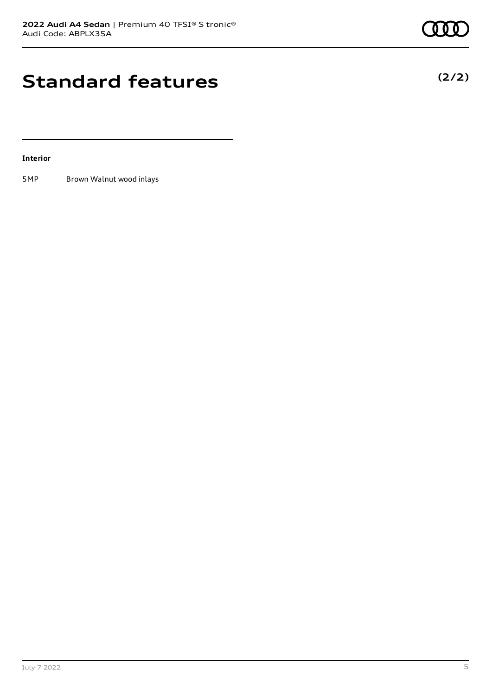## **Standard features**

### **Interior**

5MP Brown Walnut wood inlays



## **(2/2)**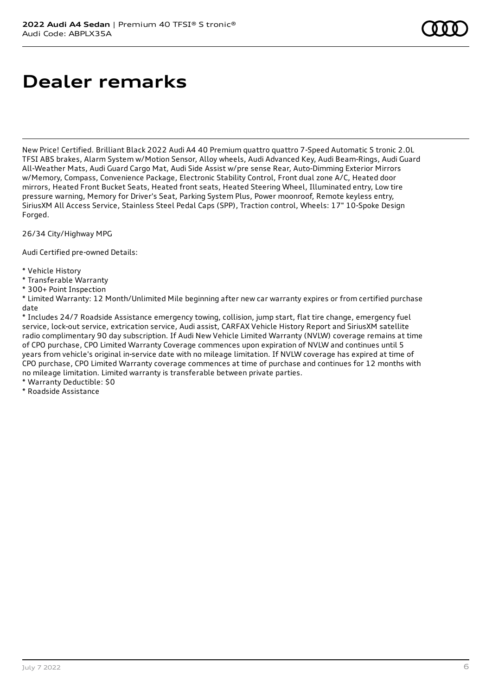# **Dealer remarks**

New Price! Certified. Brilliant Black 2022 Audi A4 40 Premium quattro quattro 7-Speed Automatic S tronic 2.0L TFSI ABS brakes, Alarm System w/Motion Sensor, Alloy wheels, Audi Advanced Key, Audi Beam-Rings, Audi Guard All-Weather Mats, Audi Guard Cargo Mat, Audi Side Assist w/pre sense Rear, Auto-Dimming Exterior Mirrors w/Memory, Compass, Convenience Package, Electronic Stability Control, Front dual zone A/C, Heated door mirrors, Heated Front Bucket Seats, Heated front seats, Heated Steering Wheel, Illuminated entry, Low tire pressure warning, Memory for Driver's Seat, Parking System Plus, Power moonroof, Remote keyless entry, SiriusXM All Access Service, Stainless Steel Pedal Caps (SPP), Traction control, Wheels: 17" 10-Spoke Design Forged.

26/34 City/Highway MPG

Audi Certified pre-owned Details:

- \* Vehicle History
- \* Transferable Warranty
- \* 300+ Point Inspection

\* Limited Warranty: 12 Month/Unlimited Mile beginning after new car warranty expires or from certified purchase date

\* Includes 24/7 Roadside Assistance emergency towing, collision, jump start, flat tire change, emergency fuel service, lock-out service, extrication service, Audi assist, CARFAX Vehicle History Report and SiriusXM satellite radio complimentary 90 day subscription. If Audi New Vehicle Limited Warranty (NVLW) coverage remains at time of CPO purchase, CPO Limited Warranty Coverage commences upon expiration of NVLW and continues until 5 years from vehicle's original in-service date with no mileage limitation. If NVLW coverage has expired at time of CPO purchase, CPO Limited Warranty coverage commences at time of purchase and continues for 12 months with no mileage limitation. Limited warranty is transferable between private parties.

\* Warranty Deductible: \$0

\* Roadside Assistance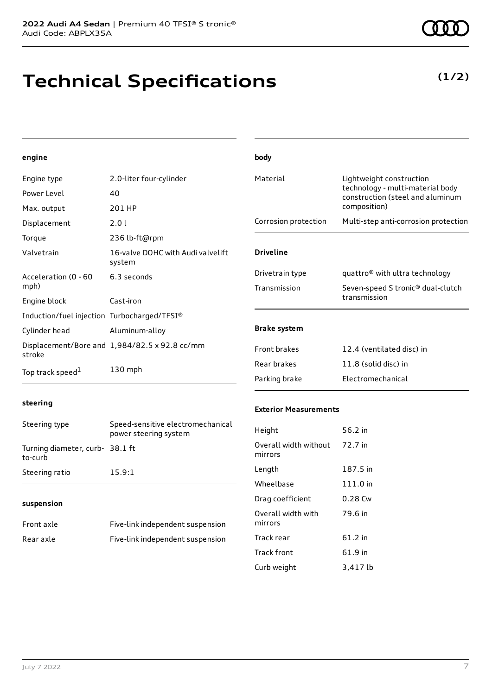## **Technical Specifications**

**(1/2)**

## **engine**

| Engine type                                 | 2.0-liter four-cylinder                       | Material             | Lightweight construction                                             |
|---------------------------------------------|-----------------------------------------------|----------------------|----------------------------------------------------------------------|
| Power Level                                 | 40                                            |                      | technology - multi-material body<br>construction (steel and aluminum |
| Max. output                                 | 201 HP                                        |                      | composition)                                                         |
| Displacement                                | 2.01                                          | Corrosion protection | Multi-step anti-corrosion protection                                 |
| Torque                                      | 236 lb-ft@rpm                                 |                      |                                                                      |
| Valvetrain                                  | 16-valve DOHC with Audi valvelift<br>system   | <b>Driveline</b>     |                                                                      |
| Acceleration (0 - 60<br>mph)                | 6.3 seconds                                   | Drivetrain type      | quattro <sup>®</sup> with ultra technology                           |
|                                             |                                               | Transmission         | Seven-speed S tronic <sup>®</sup> dual-clutch                        |
| Engine block                                | Cast-iron                                     |                      | transmission                                                         |
| Induction/fuel injection Turbocharged/TFSI® |                                               |                      |                                                                      |
| Cylinder head                               | Aluminum-alloy                                | <b>Brake system</b>  |                                                                      |
| stroke                                      | Displacement/Bore and 1,984/82.5 x 92.8 cc/mm | Front brakes         | 12.4 (ventilated disc) in                                            |
| Top track speed <sup>1</sup>                | 130 mph                                       | Rear brakes          | 11.8 (solid disc) in                                                 |
|                                             |                                               | Parking brake        | Electromechanical                                                    |

**body**

### **steering**

| Steering type                             | Speed-sensitive electromechanical<br>power steering system |
|-------------------------------------------|------------------------------------------------------------|
| Turning diameter, curb-38.1 ft<br>to-curb |                                                            |
| Steering ratio                            | 15.9:1                                                     |

### **suspension**

| Front axle | Five-link independent suspension |
|------------|----------------------------------|
| Rear axle  | Five-link independent suspension |

### **Exterior Measurements**

| Height                                   | 56.2 in   |
|------------------------------------------|-----------|
| Overall width without 72.7 in<br>mirrors |           |
| Length                                   | 187.5 in  |
| Wheelbase                                | 111.0 in  |
| Drag coefficient                         | $0.28$ Cw |
| Overall width with<br>mirrors            | 79.6 in   |
| Track rear                               | 61.2 in   |
| Track front                              | 61.9 in   |
| Curb weight                              | 3,417 lb  |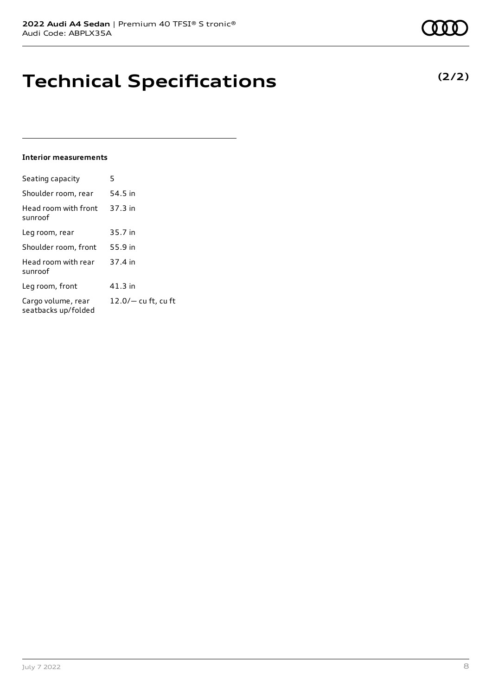## **Technical Specifications**

### **Interior measurements**

| Seating capacity                          | 5                   |
|-------------------------------------------|---------------------|
| Shoulder room, rear                       | 54.5 in             |
| Head room with front<br>sunroof           | 37.3 in             |
| Leg room, rear                            | 35.7 in             |
| Shoulder room, front                      | 55.9 in             |
| Head room with rear<br>sunroof            | 37.4 in             |
| Leg room, front                           | 41.3 in             |
| Cargo volume, rear<br>seatbacks up/folded | 12.0/- cu ft, cu ft |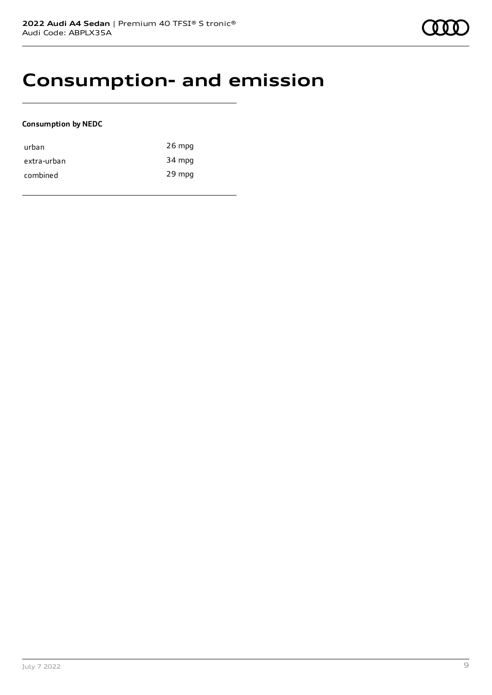## **Consumption- and emission**

### **Consumption by NEDC**

| urban       | $26$ mpg |
|-------------|----------|
| extra-urban | 34 mpg   |
| combined    | 29 mpg   |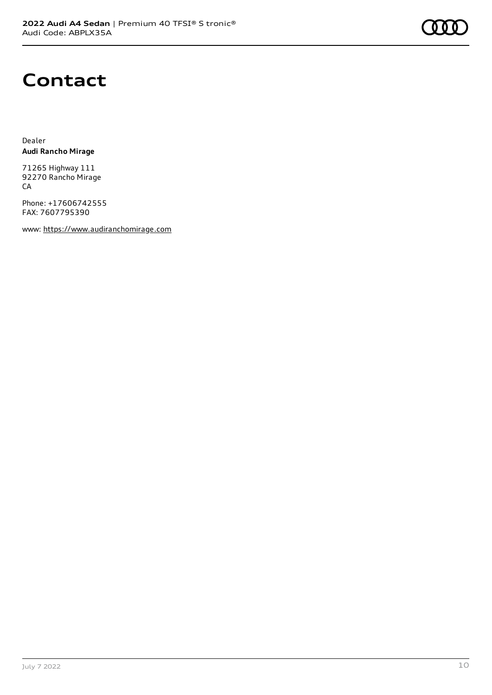

## **Contact**

Dealer **Audi Rancho Mirage**

71265 Highway 111 92270 Rancho Mirage CA

Phone: +17606742555 FAX: 7607795390

www: [https://www.audiranchomirage.com](https://www.audiranchomirage.com/)